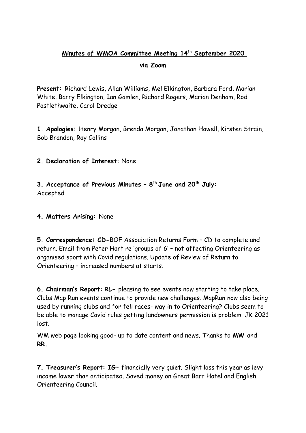## **Minutes of WMOA Committee Meeting 14th September 2020 via Zoom**

**Present:** Richard Lewis, Allan Williams, Mel Elkington, Barbara Ford, Marian White, Barry Elkington, Ian Gamlen, Richard Rogers, Marian Denham, Rod Postlethwaite, Carol Dredge

**1. Apologies:** Henry Morgan, Brenda Morgan, Jonathan Howell, Kirsten Strain, Bob Brandon, Ray Collins

**2. Declaration of Interest:** None

**3. Acceptance of Previous Minutes – 8th June and 20th July:**  Accepted

**4. Matters Arising:** None

**5. Correspondence: CD-**BOF Association Returns Form – CD to complete and return. Email from Peter Hart re 'groups of 6' – not affecting Orienteering as organised sport with Covid regulations. Update of Review of Return to Orienteering – increased numbers at starts.

**6. Chairman's Report: RL-** pleasing to see events now starting to take place. Clubs Map Run events continue to provide new challenges. MapRun now also being used by running clubs and for fell races- way in to Orienteering? Clubs seem to be able to manage Covid rules getting landowners permission is problem. JK 2021 lost.

WM web page looking good- up to date content and news. Thanks to **MW** and **RR.**

**7. Treasurer's Report: IG-** financially very quiet. Slight loss this year as levy income lower than anticipated. Saved money on Great Barr Hotel and English Orienteering Council.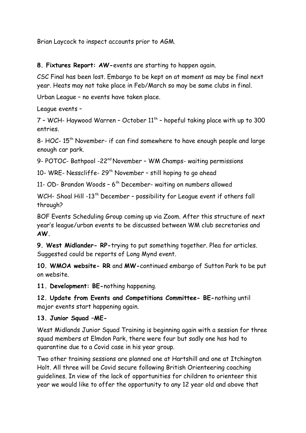Brian Laycock to inspect accounts prior to AGM.

**8. Fixtures Report: AW-**events are starting to happen again.

CSC Final has been lost. Embargo to be kept on at moment as may be final next year. Heats may not take place in Feb/March so may be same clubs in final.

Urban League – no events have taken place.

League events –

 $7$  - WCH- Haywood Warren - October  $11<sup>th</sup>$  - hopeful taking place with up to 300 entries.

8- HOC- 15<sup>th</sup> November- if can find somewhere to have enough people and large enough car park.

9- POTOC- Bathpool -22<sup>nd</sup> November - WM Champs- waiting permissions

10- WRE- Nesscliffe- 29<sup>th</sup> November - still hoping to go ahead

11- OD- Brandon Woods -  $6<sup>th</sup>$  December- waiting on numbers allowed

WCH- Shoal Hill -13<sup>th</sup> December - possibility for League event if others fall through?

BOF Events Scheduling Group coming up via Zoom. After this structure of next year's league/urban events to be discussed between WM club secretaries and **AW.**

**9. West Midlander- RP-**trying to put something together. Plea for articles. Suggested could be reports of Long Mynd event.

**10. WMOA website- RR** and **MW-**continued embargo of Sutton Park to be put on website.

**11. Development: BE-**nothing happening.

**12. Update from Events and Competitions Committee- BE-**nothing until major events start happening again.

## **13. Junior Squad –ME-**

West Midlands Junior Squad Training is beginning again with a session for three squad members at Elmdon Park, there were four but sadly one has had to quarantine due to a Covid case in his year group.

Two other training sessions are planned one at Hartshill and one at Itchington Holt. All three will be Covid secure following British Orienteering coaching guidelines. In view of the lack of opportunities for children to orienteer this year we would like to offer the opportunity to any 12 year old and above that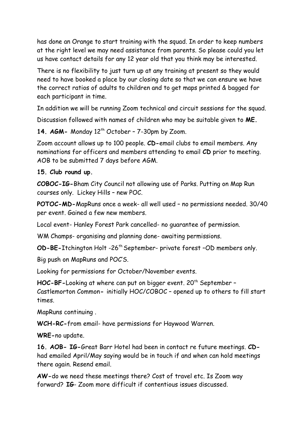has done an Orange to start training with the squad. In order to keep numbers at the right level we may need assistance from parents. So please could you let us have contact details for any 12 year old that you think may be interested.

There is no flexibility to just turn up at any training at present so they would need to have booked a place by our closing date so that we can ensure we have the correct ratios of adults to children and to get maps printed & bagged for each participant in time.

In addition we will be running Zoom technical and circuit sessions for the squad.

Discussion followed with names of children who may be suitable given to **ME.**

14. AGM- Monday 12<sup>th</sup> October - 7-30pm by Zoom.

Zoom account allows up to 100 people. **CD-**email clubs to email members. Any nominations for officers and members attending to email **CD** prior to meeting. AOB to be submitted 7 days before AGM.

**15. Club round up.** 

**COBOC-IG-**Bham City Council not allowing use of Parks. Putting on Map Run courses only. Lickey Hills – new POC.

**POTOC-MD-**MapRuns once a week- all well used – no permissions needed. 30/40 per event. Gained a few new members.

Local event- Hanley Forest Park cancelled- no guarantee of permission.

WM Champs- organising and planning done- awaiting permissions.

**OD-BE-**Itchington Holt -26th September- private forest –OD members only.

Big push on MapRuns and POC'S.

Looking for permissions for October/November events.

HOC-BF-Looking at where can put on bigger event. 20<sup>th</sup> September -Castlemorton Common**-** initially HOC/COBOC – opened up to others to fill start times.

MapRuns continuing .

**WCH-RC-**from email- have permissions for Haywood Warren.

**WRE-**no update.

**16. AOB- IG-**Great Barr Hotel had been in contact re future meetings. **CD**had emailed April/May saying would be in touch if and when can hold meetings there again. Resend email.

**AW-**do we need these meetings there? Cost of travel etc. Is Zoom way forward? **IG**- Zoom more difficult if contentious issues discussed.